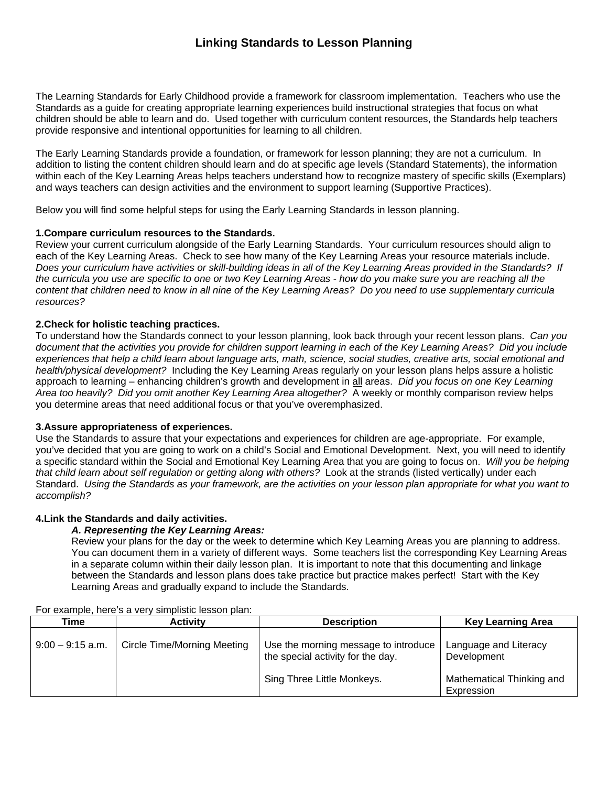The Learning Standards for Early Childhood provide a framework for classroom implementation. Teachers who use the Standards as a guide for creating appropriate learning experiences build instructional strategies that focus on what children should be able to learn and do. Used together with curriculum content resources, the Standards help teachers provide responsive and intentional opportunities for learning to all children.

The Early Learning Standards provide a foundation, or framework for lesson planning; they are not a curriculum. In addition to listing the content children should learn and do at specific age levels (Standard Statements), the information within each of the Key Learning Areas helps teachers understand how to recognize mastery of specific skills (Exemplars) and ways teachers can design activities and the environment to support learning (Supportive Practices).

Below you will find some helpful steps for using the Early Learning Standards in lesson planning.

### **1.Compare curriculum resources to the Standards.**

Review your current curriculum alongside of the Early Learning Standards. Your curriculum resources should align to each of the Key Learning Areas. Check to see how many of the Key Learning Areas your resource materials include. *Does your curriculum have activities or skill-building ideas in all of the Key Learning Areas provided in the Standards? If the curricula you use are specific to one or two Key Learning Areas - how do you make sure you are reaching all the content that children need to know in all nine of the Key Learning Areas? Do you need to use supplementary curricula resources?*

### **2.Check for holistic teaching practices.**

To understand how the Standards connect to your lesson planning, look back through your recent lesson plans. *Can you document that the activities you provide for children support learning in each of the Key Learning Areas? Did you include experiences that help a child learn about language arts, math, science, social studies, creative arts, social emotional and health/physical development?* Including the Key Learning Areas regularly on your lesson plans helps assure a holistic approach to learning – enhancing children's growth and development in all areas. *Did you focus on one Key Learning Area too heavily? Did you omit another Key Learning Area altogether?* A weekly or monthly comparison review helps you determine areas that need additional focus or that you've overemphasized.

### **3.Assure appropriateness of experiences.**

Use the Standards to assure that your expectations and experiences for children are age-appropriate. For example, you've decided that you are going to work on a child's Social and Emotional Development. Next, you will need to identify a specific standard within the Social and Emotional Key Learning Area that you are going to focus on. *Will you be helping that child learn about self regulation or getting along with others?* Look at the strands (listed vertically) under each Standard. *Using the Standards as your framework, are the activities on your lesson plan appropriate for what you want to accomplish?* 

### **4.Link the Standards and daily activities.**

### *A. Representing the Key Learning Areas:*

Review your plans for the day or the week to determine which Key Learning Areas you are planning to address. You can document them in a variety of different ways. Some teachers list the corresponding Key Learning Areas in a separate column within their daily lesson plan. It is important to note that this documenting and linkage between the Standards and lesson plans does take practice but practice makes perfect! Start with the Key Learning Areas and gradually expand to include the Standards.

| Time               | <b>Activity</b>                    | <b>Description</b>                                                        | <b>Key Learning Area</b>                |
|--------------------|------------------------------------|---------------------------------------------------------------------------|-----------------------------------------|
| $9:00 - 9:15$ a.m. | <b>Circle Time/Morning Meeting</b> | Use the morning message to introduce<br>the special activity for the day. | Language and Literacy<br>Development    |
|                    |                                    | Sing Three Little Monkeys.                                                | Mathematical Thinking and<br>Expression |

For example, here's a very simplistic lesson plan: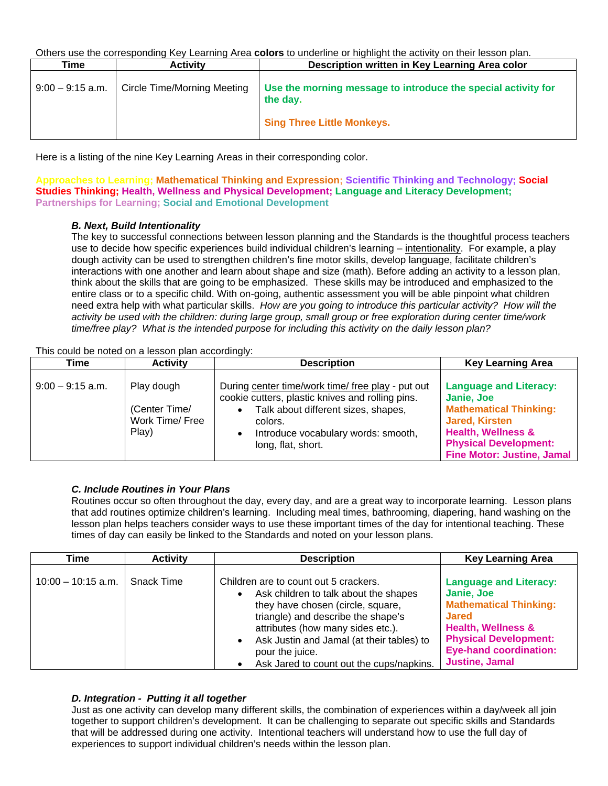Others use the corresponding Key Learning Area **colors** to underline or highlight the activity on their lesson plan.

| Time               | <b>Activity</b>                    | Description written in Key Learning Area color                                                                 |
|--------------------|------------------------------------|----------------------------------------------------------------------------------------------------------------|
| $9:00 - 9:15$ a.m. | <b>Circle Time/Morning Meeting</b> | Use the morning message to introduce the special activity for<br>the day.<br><b>Sing Three Little Monkeys.</b> |
|                    |                                    |                                                                                                                |

Here is a listing of the nine Key Learning Areas in their corresponding color.

**Approaches to Learning; Mathematical Thinking and Expression; Scientific Thinking and Technology; Social Studies Thinking; Health, Wellness and Physical Development; Language and Literacy Development; Partnerships for Learning; Social and Emotional Development**

### *B. Next, Build Intentionality*

The key to successful connections between lesson planning and the Standards is the thoughtful process teachers use to decide how specific experiences build individual children's learning – intentionality. For example, a play dough activity can be used to strengthen children's fine motor skills, develop language, facilitate children's interactions with one another and learn about shape and size (math). Before adding an activity to a lesson plan, think about the skills that are going to be emphasized. These skills may be introduced and emphasized to the entire class or to a specific child. With on-going, authentic assessment you will be able pinpoint what children need extra help with what particular skills. *How are you going to introduce this particular activity? How will the activity be used with the children: during large group, small group or free exploration during center time/work time/free play? What is the intended purpose for including this activity on the daily lesson plan?* 

This could be noted on a lesson plan accordingly:

| Time               | <b>Activity</b>                                         | .<br><b>Description</b>                                                                                                                                                                                              | <b>Key Learning Area</b>                                                                                                                                                                                    |
|--------------------|---------------------------------------------------------|----------------------------------------------------------------------------------------------------------------------------------------------------------------------------------------------------------------------|-------------------------------------------------------------------------------------------------------------------------------------------------------------------------------------------------------------|
| $9:00 - 9:15$ a.m. | Play dough<br>(Center Time/<br>Work Time/ Free<br>Play) | During center time/work time/ free play - put out<br>cookie cutters, plastic knives and rolling pins.<br>Talk about different sizes, shapes,<br>colors.<br>Introduce vocabulary words: smooth,<br>long, flat, short. | <b>Language and Literacy:</b><br>Janie, Joe<br><b>Mathematical Thinking:</b><br><b>Jared, Kirsten</b><br><b>Health, Wellness &amp;</b><br><b>Physical Development:</b><br><b>Fine Motor: Justine, Jamal</b> |

# *C. Include Routines in Your Plans*

Routines occur so often throughout the day, every day, and are a great way to incorporate learning. Lesson plans that add routines optimize children's learning. Including meal times, bathrooming, diapering, hand washing on the lesson plan helps teachers consider ways to use these important times of the day for intentional teaching. These times of day can easily be linked to the Standards and noted on your lesson plans.

| Time                 | <b>Activity</b> | <b>Description</b>                                                                                                                                                                                                                                                                                                      | <b>Key Learning Area</b>                                                                                                                                                                                                |
|----------------------|-----------------|-------------------------------------------------------------------------------------------------------------------------------------------------------------------------------------------------------------------------------------------------------------------------------------------------------------------------|-------------------------------------------------------------------------------------------------------------------------------------------------------------------------------------------------------------------------|
| $10:00 - 10:15$ a.m. | Snack Time      | Children are to count out 5 crackers.<br>Ask children to talk about the shapes<br>$\bullet$<br>they have chosen (circle, square,<br>triangle) and describe the shape's<br>attributes (how many sides etc.).<br>Ask Justin and Jamal (at their tables) to<br>pour the juice.<br>Ask Jared to count out the cups/napkins. | <b>Language and Literacy:</b><br>Janie, Joe<br><b>Mathematical Thinking:</b><br><b>Jared</b><br><b>Health, Wellness &amp;</b><br><b>Physical Development:</b><br><b>Eye-hand coordination:</b><br><b>Justine, Jamal</b> |

# *D. Integration - Putting it all together*

Just as one activity can develop many different skills, the combination of experiences within a day/week all join together to support children's development. It can be challenging to separate out specific skills and Standards that will be addressed during one activity. Intentional teachers will understand how to use the full day of experiences to support individual children's needs within the lesson plan.